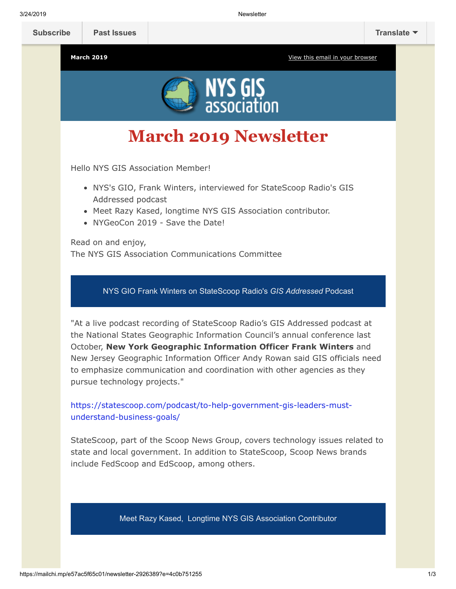

# **March 2019 Newsletter**

Hello NYS GIS Association Member!

- NYS's GIO, Frank Winters, interviewed for StateScoop Radio's GIS Addressed podcast
- Meet Razy Kased, longtime NYS GIS Association contributor.
- NYGeoCon 2019 Save the Date!

Read on and enjoy, The NYS GIS Association Communications Committee

NYS GIO Frank Winters on StateScoop Radio's *GIS Addressed* Podcast

"At a live podcast recording of StateScoop Radio's GIS Addressed podcast at the National States Geographic Information Council's annual conference last October, **New York Geographic Information Officer Frank Winters** and New Jersey Geographic Information Officer Andy Rowan said GIS officials need to emphasize communication and coordination with other agencies as they pursue technology projects."

[https://statescoop.com/podcast/to-help-government-gis-leaders-must](https://statescoop.com/podcast/to-help-government-gis-leaders-must-understand-business-goals/)understand-business-goals/

StateScoop, part of the Scoop News Group, covers technology issues related to state and local government. In addition to StateScoop, Scoop News brands include FedScoop and EdScoop, among others.

Meet Razy Kased, Longtime NYS GIS Association Contributor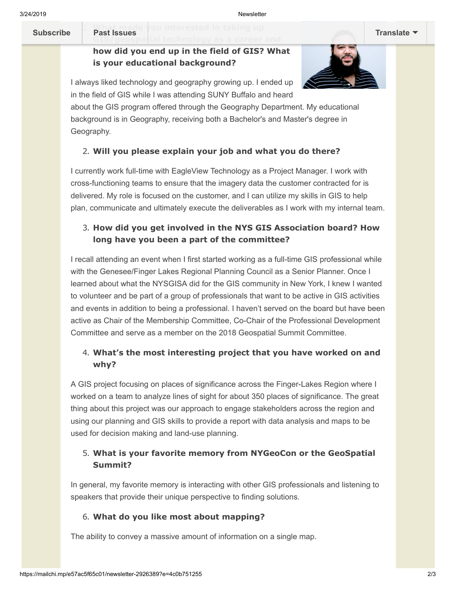**Past issues** you interested in taking up **[Subscribe](http://eepurl.com/dPKLiT) Past Issues [Translate](javascript:;)**

# **how did you end up in the field of GIS? What is your educational background?**



I always liked technology and geography growing up. I ended up in the field of GIS while I was attending SUNY Buffalo and heard

about the GIS program offered through the Geography Department. My educational background is in Geography, receiving both a Bachelor's and Master's degree in Geography.

## 2. **Will you please explain your job and what you do there?**

I currently work full-time with EagleView Technology as a Project Manager. I work with cross-functioning teams to ensure that the imagery data the customer contracted for is delivered. My role is focused on the customer, and I can utilize my skills in GIS to help plan, communicate and ultimately execute the deliverables as I work with my internal team.

## 3. **How did you get involved in the NYS GIS Association board? How long have you been a part of the committee?**

I recall attending an event when I first started working as a full-time GIS professional while with the Genesee/Finger Lakes Regional Planning Council as a Senior Planner. Once I learned about what the NYSGISA did for the GIS community in New York, I knew I wanted to volunteer and be part of a group of professionals that want to be active in GIS activities and events in addition to being a professional. I haven't served on the board but have been active as Chair of the Membership Committee, Co-Chair of the Professional Development Committee and serve as a member on the 2018 Geospatial Summit Committee.

## 4. **What's the most interesting project that you have worked on and why?**

A GIS project focusing on places of significance across the Finger-Lakes Region where I worked on a team to analyze lines of sight for about 350 places of significance. The great thing about this project was our approach to engage stakeholders across the region and using our planning and GIS skills to provide a report with data analysis and maps to be used for decision making and land-use planning.

#### 5. **What is your favorite memory from NYGeoCon or the GeoSpatial Summit?**

In general, my favorite memory is interacting with other GIS professionals and listening to speakers that provide their unique perspective to finding solutions.

#### 6. **What do you like most about mapping?**

The ability to convey a massive amount of information on a single map.